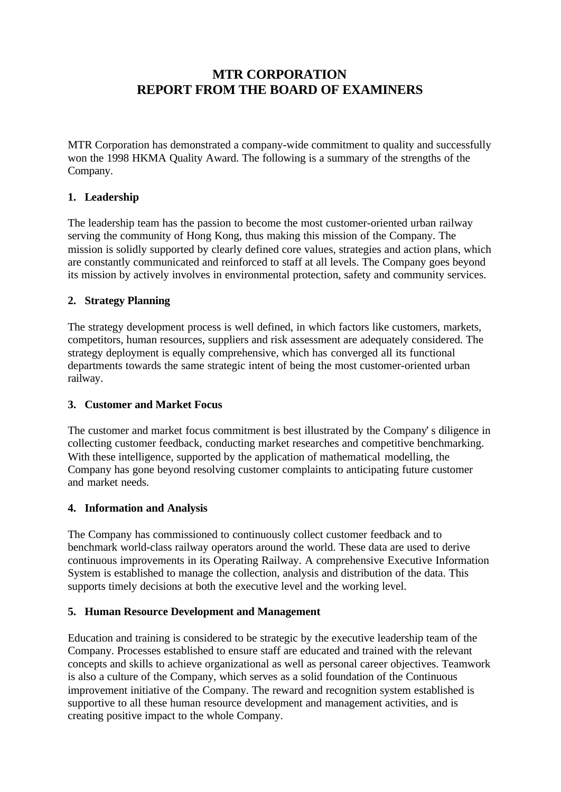# **MTR CORPORATION REPORT FROM THE BOARD OF EXAMINERS**

MTR Corporation has demonstrated a company-wide commitment to quality and successfully won the 1998 HKMA Quality Award. The following is a summary of the strengths of the Company.

## **1. Leadership**

The leadership team has the passion to become the most customer-oriented urban railway serving the community of Hong Kong, thus making this mission of the Company. The mission is solidly supported by clearly defined core values, strategies and action plans, which are constantly communicated and reinforced to staff at all levels. The Company goes beyond its mission by actively involves in environmental protection, safety and community services.

### **2. Strategy Planning**

The strategy development process is well defined, in which factors like customers, markets, competitors, human resources, suppliers and risk assessment are adequately considered. The strategy deployment is equally comprehensive, which has converged all its functional departments towards the same strategic intent of being the most customer-oriented urban railway.

### **3. Customer and Market Focus**

The customer and market focus commitment is best illustrated by the Company's diligence in collecting customer feedback, conducting market researches and competitive benchmarking. With these intelligence, supported by the application of mathematical modelling, the Company has gone beyond resolving customer complaints to anticipating future customer and market needs.

### **4. Information and Analysis**

The Company has commissioned to continuously collect customer feedback and to benchmark world-class railway operators around the world. These data are used to derive continuous improvements in its Operating Railway. A comprehensive Executive Information System is established to manage the collection, analysis and distribution of the data. This supports timely decisions at both the executive level and the working level.

### **5. Human Resource Development and Management**

Education and training is considered to be strategic by the executive leadership team of the Company. Processes established to ensure staff are educated and trained with the relevant concepts and skills to achieve organizational as well as personal career objectives. Teamwork is also a culture of the Company, which serves as a solid foundation of the Continuous improvement initiative of the Company. The reward and recognition system established is supportive to all these human resource development and management activities, and is creating positive impact to the whole Company.